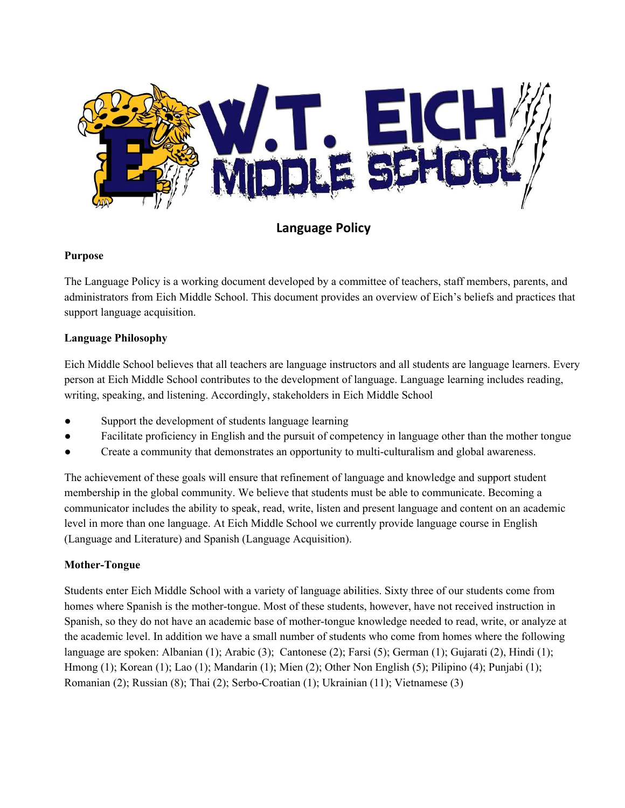

**Language Policy**

# **Purpose**

The Language Policy is a working document developed by a committee of teachers, staff members, parents, and administrators from Eich Middle School. This document provides an overview of Eich's beliefs and practices that support language acquisition.

## **Language Philosophy**

Eich Middle School believes that all teachers are language instructors and all students are language learners. Every person at Eich Middle School contributes to the development of language. Language learning includes reading, writing, speaking, and listening. Accordingly, stakeholders in Eich Middle School

- Support the development of students language learning
- Facilitate proficiency in English and the pursuit of competency in language other than the mother tongue
- Create a community that demonstrates an opportunity to multi-culturalism and global awareness.

The achievement of these goals will ensure that refinement of language and knowledge and support student membership in the global community. We believe that students must be able to communicate. Becoming a communicator includes the ability to speak, read, write, listen and present language and content on an academic level in more than one language. At Eich Middle School we currently provide language course in English (Language and Literature) and Spanish (Language Acquisition).

# **Mother-Tongue**

Students enter Eich Middle School with a variety of language abilities. Sixty three of our students come from homes where Spanish is the mother-tongue. Most of these students, however, have not received instruction in Spanish, so they do not have an academic base of mother-tongue knowledge needed to read, write, or analyze at the academic level. In addition we have a small number of students who come from homes where the following language are spoken: Albanian (1); Arabic (3); Cantonese (2); Farsi (5); German (1); Gujarati (2), Hindi (1); Hmong (1); Korean (1); Lao (1); Mandarin (1); Mien (2); Other Non English (5); Pilipino (4); Punjabi (1); Romanian (2); Russian (8); Thai (2); Serbo-Croatian (1); Ukrainian (11); Vietnamese (3)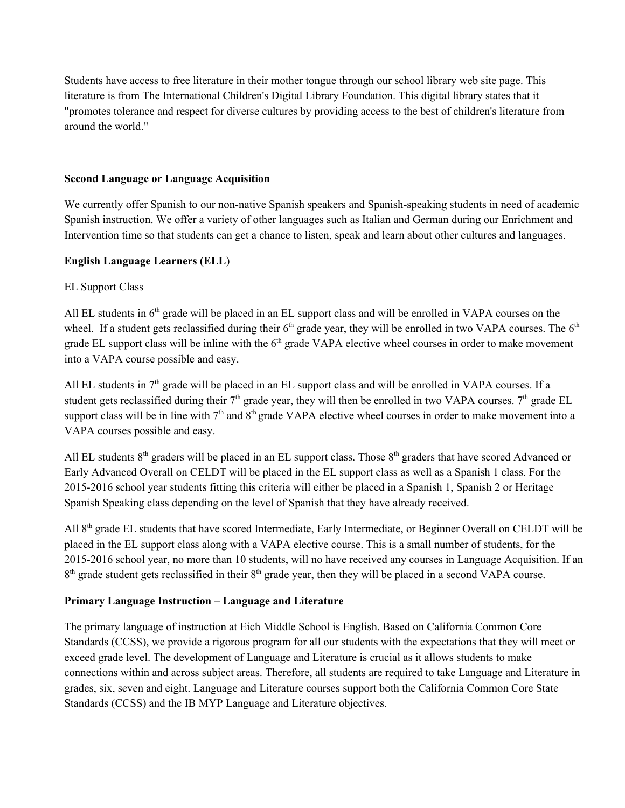Students have access to free literature in their mother tongue through our school library web site page. This literature is from The International Children's Digital Library Foundation. This digital library states that it "promotes tolerance and respect for diverse cultures by providing access to the best of children's literature from around the world."

### **Second Language or Language Acquisition**

We currently offer Spanish to our non-native Spanish speakers and Spanish-speaking students in need of academic Spanish instruction. We offer a variety of other languages such as Italian and German during our Enrichment and Intervention time so that students can get a chance to listen, speak and learn about other cultures and languages.

### **English Language Learners (ELL**)

### EL Support Class

All EL students in  $6<sup>th</sup>$  grade will be placed in an EL support class and will be enrolled in VAPA courses on the wheel. If a student gets reclassified during their  $6<sup>th</sup>$  grade year, they will be enrolled in two VAPA courses. The  $6<sup>th</sup>$ grade EL support class will be inline with the 6<sup>th</sup> grade VAPA elective wheel courses in order to make movement into a VAPA course possible and easy.

All EL students in  $7<sup>th</sup>$  grade will be placed in an EL support class and will be enrolled in VAPA courses. If a student gets reclassified during their  $7<sup>th</sup>$  grade year, they will then be enrolled in two VAPA courses.  $7<sup>th</sup>$  grade EL support class will be in line with  $7<sup>th</sup>$  and  $8<sup>th</sup>$  grade VAPA elective wheel courses in order to make movement into a VAPA courses possible and easy.

All EL students  $8<sup>th</sup>$  graders will be placed in an EL support class. Those  $8<sup>th</sup>$  graders that have scored Advanced or Early Advanced Overall on CELDT will be placed in the EL support class as well as a Spanish 1 class. For the 2015-2016 school year students fitting this criteria will either be placed in a Spanish 1, Spanish 2 or Heritage Spanish Speaking class depending on the level of Spanish that they have already received.

All 8<sup>th</sup> grade EL students that have scored Intermediate, Early Intermediate, or Beginner Overall on CELDT will be placed in the EL support class along with a VAPA elective course. This is a small number of students, for the 2015-2016 school year, no more than 10 students, will no have received any courses in Language Acquisition. If an 8<sup>th</sup> grade student gets reclassified in their 8<sup>th</sup> grade year, then they will be placed in a second VAPA course.

## **Primary Language Instruction – Language and Literature**

The primary language of instruction at Eich Middle School is English. Based on California Common Core Standards (CCSS), we provide a rigorous program for all our students with the expectations that they will meet or exceed grade level. The development of Language and Literature is crucial as it allows students to make connections within and across subject areas. Therefore, all students are required to take Language and Literature in grades, six, seven and eight. Language and Literature courses support both the California Common Core State Standards (CCSS) and the IB MYP Language and Literature objectives.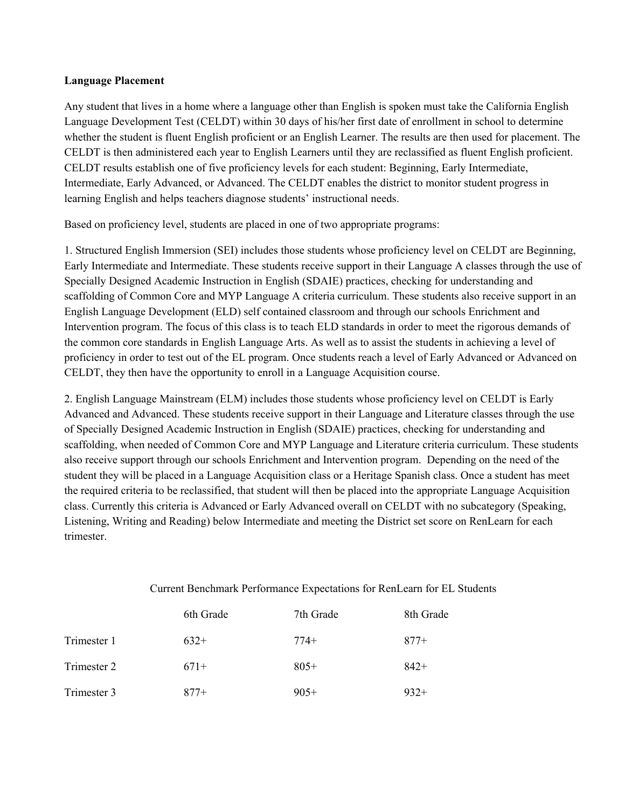#### **Language Placement**

Any student that lives in a home where a language other than English is spoken must take the California English Language Development Test (CELDT) within 30 days of his/her first date of enrollment in school to determine whether the student is fluent English proficient or an English Learner. The results are then used for placement. The CELDT is then administered each year to English Learners until they are reclassified as fluent English proficient. CELDT results establish one of five proficiency levels for each student: Beginning, Early Intermediate, Intermediate, Early Advanced, or Advanced. The CELDT enables the district to monitor student progress in learning English and helps teachers diagnose students' instructional needs.

Based on proficiency level, students are placed in one of two appropriate programs:

1. Structured English Immersion (SEI) includes those students whose proficiency level on CELDT are Beginning, Early Intermediate and Intermediate. These students receive support in their Language A classes through the use of Specially Designed Academic Instruction in English (SDAIE) practices, checking for understanding and scaffolding of Common Core and MYP Language A criteria curriculum. These students also receive support in an English Language Development (ELD) self contained classroom and through our schools Enrichment and Intervention program. The focus of this class is to teach ELD standards in order to meet the rigorous demands of the common core standards in English Language Arts. As well as to assist the students in achieving a level of proficiency in order to test out of the EL program. Once students reach a level of Early Advanced or Advanced on CELDT, they then have the opportunity to enroll in a Language Acquisition course.

2. English Language Mainstream (ELM) includes those students whose proficiency level on CELDT is Early Advanced and Advanced. These students receive support in their Language and Literature classes through the use of Specially Designed Academic Instruction in English (SDAIE) practices, checking for understanding and scaffolding, when needed of Common Core and MYP Language and Literature criteria curriculum. These students also receive support through our schools Enrichment and Intervention program. Depending on the need of the student they will be placed in a Language Acquisition class or a Heritage Spanish class. Once a student has meet the required criteria to be reclassified, that student will then be placed into the appropriate Language Acquisition class. Currently this criteria is Advanced or Early Advanced overall on CELDT with no subcategory (Speaking, Listening, Writing and Reading) below Intermediate and meeting the District set score on RenLearn for each trimester.

|             | 6th Grade | 7th Grade | 8th Grade |
|-------------|-----------|-----------|-----------|
| Trimester 1 | $632+$    | $774+$    | $877+$    |
| Trimester 2 | $671+$    | $805+$    | $842+$    |
| Trimester 3 | 877+      | $905+$    | $932+$    |

Current Benchmark Performance Expectations for RenLearn for EL Students